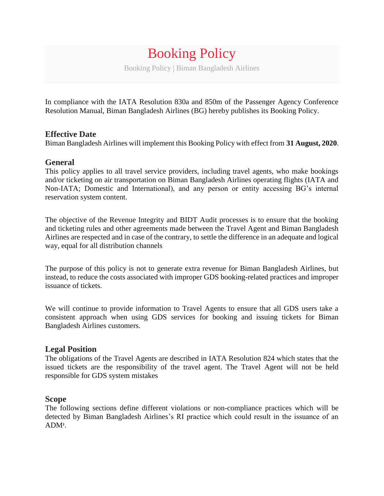# Booking Policy Booking Policy | Biman Bangladesh Airlines

In compliance with the IATA Resolution 830a and 850m of the Passenger Agency Conference Resolution Manual, Biman Bangladesh Airlines (BG) hereby publishes its Booking Policy.

## **Effective Date**

Biman Bangladesh Airlines will implement this Booking Policy with effect from **31 August, 2020**.

## **General**

This policy applies to all travel service providers, including travel agents, who make bookings and/or ticketing on air transportation on Biman Bangladesh Airlines operating flights (IATA and Non-IATA; Domestic and International), and any person or entity accessing BG's internal reservation system content.

The objective of the Revenue Integrity and BIDT Audit processes is to ensure that the booking and ticketing rules and other agreements made between the Travel Agent and Biman Bangladesh Airlines are respected and in case of the contrary, to settle the difference in an adequate and logical way, equal for all distribution channels

The purpose of this policy is not to generate extra revenue for Biman Bangladesh Airlines, but instead, to reduce the costs associated with improper GDS booking-related practices and improper issuance of tickets.

We will continue to provide information to Travel Agents to ensure that all GDS users take a consistent approach when using GDS services for booking and issuing tickets for Biman Bangladesh Airlines customers.

#### **Legal Position**

The obligations of the Travel Agents are described in IATA Resolution 824 which states that the issued tickets are the responsibility of the travel agent. The Travel Agent will not be held responsible for GDS system mistakes

#### **Scope**

The following sections define different violations or non-compliance practices which will be detected by Biman Bangladesh Airlines's RI practice which could result in the issuance of an ADM**<sup>1</sup>** .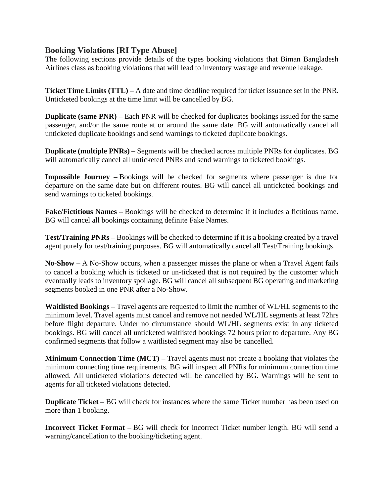## **Booking Violations [RI Type Abuse]**

The following sections provide details of the types booking violations that Biman Bangladesh Airlines class as booking violations that will lead to inventory wastage and revenue leakage.

**Ticket Time Limits (TTL) –** A date and time deadline required for ticket issuance set in the PNR. Unticketed bookings at the time limit will be cancelled by BG.

**Duplicate (same PNR)** – Each PNR will be checked for duplicates bookings issued for the same passenger, and/or the same route at or around the same date. BG will automatically cancel all unticketed duplicate bookings and send warnings to ticketed duplicate bookings.

**Duplicate (multiple PNRs)** – Segments will be checked across multiple PNRs for duplicates. BG will automatically cancel all unticketed PNRs and send warnings to ticketed bookings.

**Impossible Journey –** Bookings will be checked for segments where passenger is due for departure on the same date but on different routes. BG will cancel all unticketed bookings and send warnings to ticketed bookings.

**Fake/Fictitious Names –** Bookings will be checked to determine if it includes a fictitious name. BG will cancel all bookings containing definite Fake Names.

**Test/Training PNRs –** Bookings will be checked to determine if it is a booking created by a travel agent purely for test/training purposes. BG will automatically cancel all Test/Training bookings.

**No-Show –** A No-Show occurs, when a passenger misses the plane or when a Travel Agent fails to cancel a booking which is ticketed or un-ticketed that is not required by the customer which eventually leads to inventory spoilage. BG will cancel all subsequent BG operating and marketing segments booked in one PNR after a No-Show.

**Waitlisted Bookings –** Travel agents are requested to limit the number of WL/HL segments to the minimum level. Travel agents must cancel and remove not needed WL/HL segments at least 72hrs before flight departure. Under no circumstance should WL/HL segments exist in any ticketed bookings. BG will cancel all unticketed waitlisted bookings 72 hours prior to departure. Any BG confirmed segments that follow a waitlisted segment may also be cancelled.

**Minimum Connection Time (MCT) –** Travel agents must not create a booking that violates the minimum connecting time requirements. BG will inspect all PNRs for minimum connection time allowed. All unticketed violations detected will be cancelled by BG. Warnings will be sent to agents for all ticketed violations detected.

**Duplicate Ticket** – BG will check for instances where the same Ticket number has been used on more than 1 booking.

**Incorrect Ticket Format –** BG will check for incorrect Ticket number length. BG will send a warning/cancellation to the booking/ticketing agent.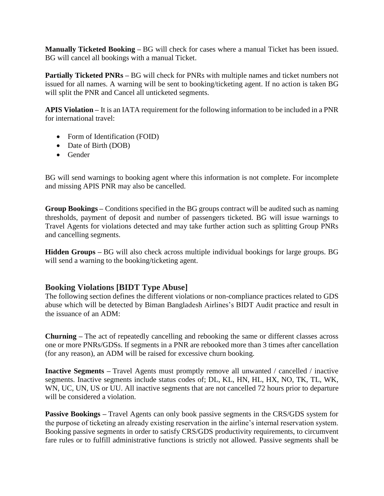**Manually Ticketed Booking –** BG will check for cases where a manual Ticket has been issued. BG will cancel all bookings with a manual Ticket.

**Partially Ticketed PNRs –** BG will check for PNRs with multiple names and ticket numbers not issued for all names. A warning will be sent to booking/ticketing agent. If no action is taken BG will split the PNR and Cancel all unticketed segments.

**APIS Violation –** It is an IATA requirement for the following information to be included in a PNR for international travel:

- Form of Identification (FOID)
- Date of Birth (DOB)
- Gender

BG will send warnings to booking agent where this information is not complete. For incomplete and missing APIS PNR may also be cancelled.

**Group Bookings –** Conditions specified in the BG groups contract will be audited such as naming thresholds, payment of deposit and number of passengers ticketed. BG will issue warnings to Travel Agents for violations detected and may take further action such as splitting Group PNRs and cancelling segments.

**Hidden Groups –** BG will also check across multiple individual bookings for large groups. BG will send a warning to the booking/ticketing agent.

# **Booking Violations [BIDT Type Abuse]**

The following section defines the different violations or non-compliance practices related to GDS abuse which will be detected by Biman Bangladesh Airlines's BIDT Audit practice and result in the issuance of an ADM:

**Churning –** The act of repeatedly cancelling and rebooking the same or different classes across one or more PNRs/GDSs. If segments in a PNR are rebooked more than 3 times after cancellation (for any reason), an ADM will be raised for excessive churn booking.

**Inactive Segments –** Travel Agents must promptly remove all unwanted / cancelled / inactive segments. Inactive segments include status codes of; DL, KL, HN, HL, HX, NO, TK, TL, WK, WN, UC, UN, US or UU. All inactive segments that are not cancelled 72 hours prior to departure will be considered a violation.

**Passive Bookings –** Travel Agents can only book passive segments in the CRS/GDS system for the purpose of ticketing an already existing reservation in the airline's internal reservation system. Booking passive segments in order to satisfy CRS/GDS productivity requirements, to circumvent fare rules or to fulfill administrative functions is strictly not allowed. Passive segments shall be